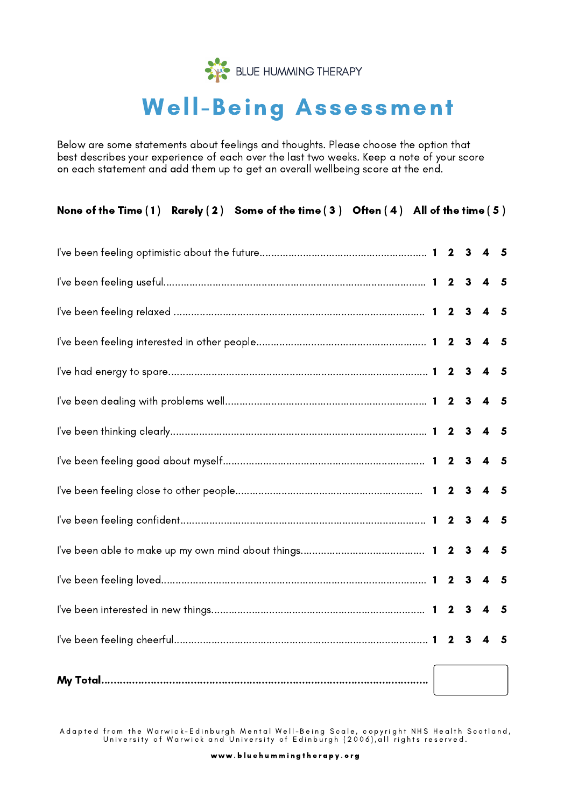

# Well-Being Assessment

Below are some statements about feelings and thoughts. Please choose the option that best describes your experience of each over the last two weeks. Keep a note of your score on each statement and add them up to get an overall wellbeing score at the end.

Adapted from the Warwick–Edinburgh Mental Well–Being Scale, copyright NHS Health Scotland, University of Warwick and University of Edinburgh (2006),all rights reserved.